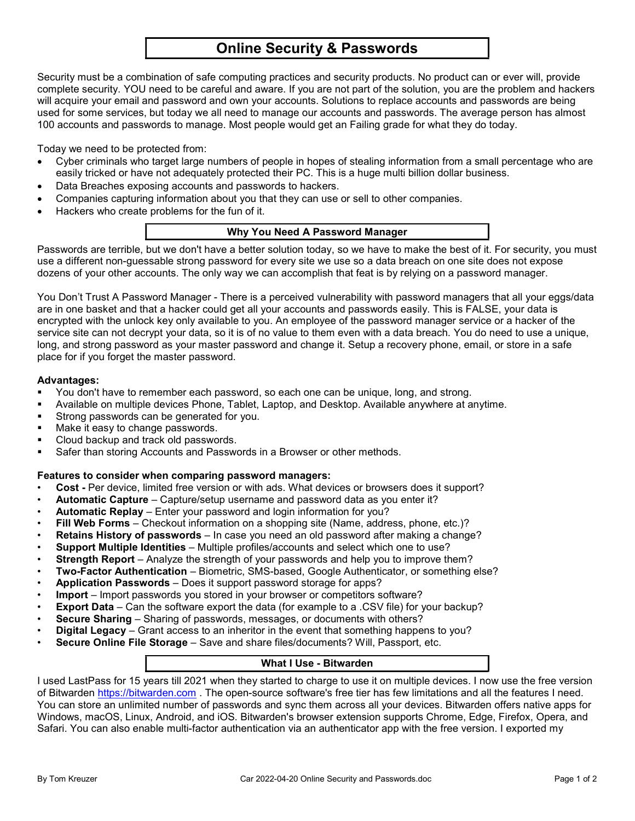# Online Security & Passwords

Security must be a combination of safe computing practices and security products. No product can or ever will, provide complete security. YOU need to be careful and aware. If you are not part of the solution, you are the problem and hackers will acquire your email and password and own your accounts. Solutions to replace accounts and passwords are being used for some services, but today we all need to manage our accounts and passwords. The average person has almost 100 accounts and passwords to manage. Most people would get an Failing grade for what they do today.

Today we need to be protected from:

- Cyber criminals who target large numbers of people in hopes of stealing information from a small percentage who are easily tricked or have not adequately protected their PC. This is a huge multi billion dollar business.
- Data Breaches exposing accounts and passwords to hackers.
- Companies capturing information about you that they can use or sell to other companies.
- Hackers who create problems for the fun of it.

### Why You Need A Password Manager

Passwords are terrible, but we don't have a better solution today, so we have to make the best of it. For security, you must use a different non-guessable strong password for every site we use so a data breach on one site does not expose dozens of your other accounts. The only way we can accomplish that feat is by relying on a password manager.

You Don't Trust A Password Manager - There is a perceived vulnerability with password managers that all your eggs/data are in one basket and that a hacker could get all your accounts and passwords easily. This is FALSE, your data is encrypted with the unlock key only available to you. An employee of the password manager service or a hacker of the service site can not decrypt your data, so it is of no value to them even with a data breach. You do need to use a unique, long, and strong password as your master password and change it. Setup a recovery phone, email, or store in a safe place for if you forget the master password.

#### Advantages:

- You don't have to remember each password, so each one can be unique, long, and strong.
- Available on multiple devices Phone, Tablet, Laptop, and Desktop. Available anywhere at anytime.
- Strong passwords can be generated for you.
- Make it easy to change passwords.
- Cloud backup and track old passwords.
- Safer than storing Accounts and Passwords in a Browser or other methods.

#### Features to consider when comparing password managers:

- Cost Per device, limited free version or with ads. What devices or browsers does it support?
- Automatic Capture Capture/setup username and password data as you enter it?
- Automatic Replay Enter your password and login information for you?
- Fill Web Forms Checkout information on a shopping site (Name, address, phone, etc.)?
- Retains History of passwords In case you need an old password after making a change?
- Support Multiple Identities Multiple profiles/accounts and select which one to use?
- Strength Report Analyze the strength of your passwords and help you to improve them?
- Two-Factor Authentication Biometric, SMS-based, Google Authenticator, or something else?
- Application Passwords Does it support password storage for apps?
- Import Import passwords you stored in your browser or competitors software?
- **Export Data** Can the software export the data (for example to a .CSV file) for your backup?
- Secure Sharing Sharing of passwords, messages, or documents with others?
- Digital Legacy Grant access to an inheritor in the event that something happens to you?
- Secure Online File Storage Save and share files/documents? Will, Passport, etc.

# What I Use - Bitwarden

I used LastPass for 15 years till 2021 when they started to charge to use it on multiple devices. I now use the free version of Bitwarden https://bitwarden.com . The open-source software's free tier has few limitations and all the features I need. You can store an unlimited number of passwords and sync them across all your devices. Bitwarden offers native apps for Windows, macOS, Linux, Android, and iOS. Bitwarden's browser extension supports Chrome, Edge, Firefox, Opera, and Safari. You can also enable multi-factor authentication via an authenticator app with the free version. I exported my